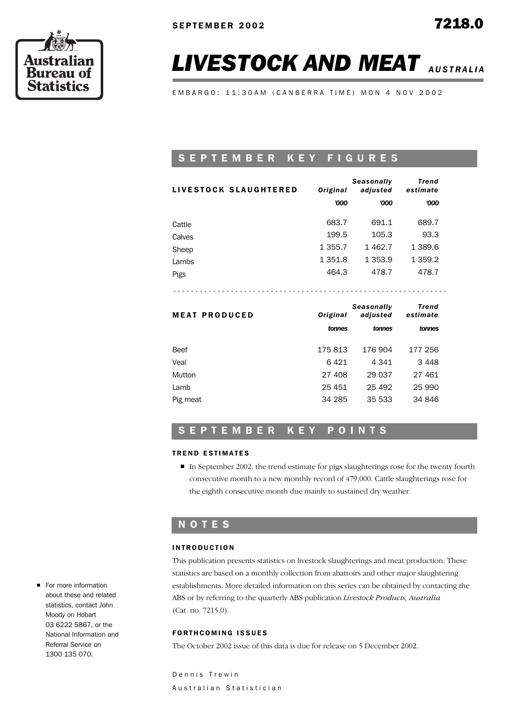

# **LIVESTOCK AND MEAT** AUSTRALIA

EMBARGO: 11:30AM (CANBERRA TIME) MON 4 NOV 2002

# S E P T E M B E R K E Y F I G U R E S

| LIVESTOCK SLAUGHTERED | Original    | <b>Seasonally</b><br>adjusted | Trend<br>estimate |
|-----------------------|-------------|-------------------------------|-------------------|
|                       | '000        | '000                          | '000              |
| Cattle                | 683.7       | 691.1                         | 689.7             |
| Calves                | 199.5       | 105.3                         | 93.3              |
| Sheep                 | 1 3 5 5 . 7 | 1462.7                        | 1 389.6           |
| Lambs                 | 1 351.8     | 1 353.9                       | 1 359.2           |
| Pigs                  | 464.3       | 478.7                         | 478.7             |

..............................................................

| <b>MEAT PRODUCED</b> | Original | Seasonally<br>adjusted | Trend<br>estimate |
|----------------------|----------|------------------------|-------------------|
|                      | tonnes   | tonnes                 | tonnes            |
| Beef                 | 175813   | 176 904                | 177 256           |
| Veal                 | 6421     | 4 341                  | 3448              |
| Mutton               | 27 408   | 29 0 37                | 27 461            |
| Lamb                 | 25 451   | 25 492                 | 25 990            |
| Pig meat             | 34 285   | 35 533                 | 34 846            |

# SEPTEMBER KEY POINTS

### **TREND ESTIMATES**

In September 2002, the trend estimate for pigs slaughterings rose for the twenty fourth consecutive month to a new monthly record of 479,000. Cattle slaughterings rose for the eighth consecutive month due mainly to sustained dry weather.

## N O T E S

### **INTRODUCTION**

This publication presents statistics on livestock slaughterings and meat production. These statistics are based on a monthly collection from abattoirs and other major slaughtering establishments. More detailed information on this series can be obtained by contacting the ABS or by referring to the quarterly ABS publication *Livestock Products, Australia*  (Cat. no. 7215.0).

### **FORTHCOMING ISSUES**

The October 2002 issue of this data is due for release on 5 December 2002.

Dennis Trewin Australian Statistician

For more information about these and related statistics, contact John Moody on Hobart 03 6222 5867, or the National Information and Referral Service on 1300 135 070.